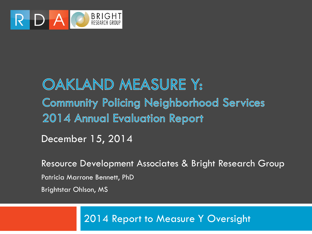

#### OAKLAND MEASURE Y: **Community Policing Neighborhood Services** 2014 Annual Evaluation Report

December 15, 2014

Resource Development Associates & Bright Research Group

Patricia Marrone Bennett, PhD

Brightstar Ohlson, MS

2014 Report to Measure Y Oversight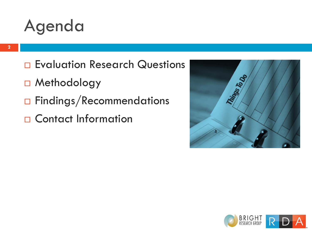#### Agenda

- Evaluation Research Questions
- □ Methodology
- □ Findings/Recommendations
- □ Contact Information



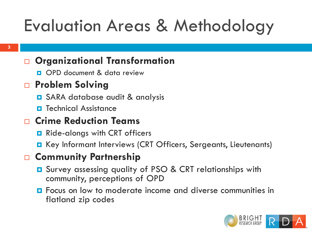# Evaluation Areas & Methodology

#### **Organizational Transformation**

OPD document & data review

#### **Problem Solving**

- **□** SARA database audit & analysis
- $\blacksquare$  Technical Assistance

#### **Crime Reduction Teams**

- **Ride-alongs with CRT officers**
- Key Informant Interviews (CRT Officers, Sergeants, Lieutenants)

#### **Community Partnership**

- Survey assessing quality of PSO & CRT relationships with community, perceptions of OPD
- **<u>E</u>** Focus on low to moderate income and diverse communities in flatland zip codes

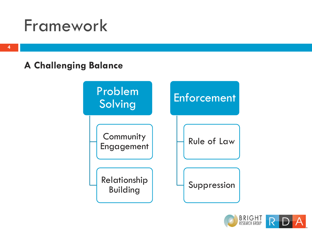#### Framework

#### **A Challenging Balance**



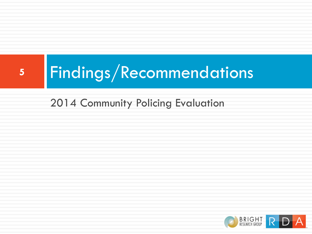# **<sup>5</sup>** Findings/Recommendations

#### 2014 Community Policing Evaluation

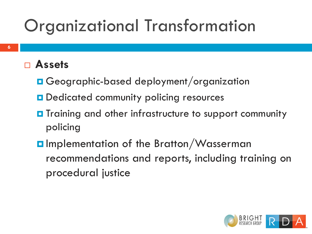# Organizational Transformation

#### **Assets**

- **□ Geographic-based deployment/organization**
- **D** Dedicated community policing resources
- **O** Training and other infrastructure to support community policing
- **O**Implementation of the Bratton/Wasserman recommendations and reports, including training on procedural justice

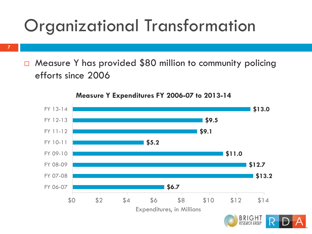## Organizational Transformation

**7**

□ Measure Y has provided \$80 million to community policing efforts since 2006

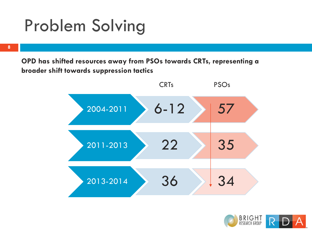## Problem Solving

**8**

**OPD has shifted resources away from PSOs towards CRTs, representing a broader shift towards suppression tactics**



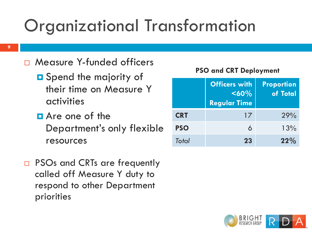# Organizational Transformation

- □ Measure Y-funded officers
	- **O** Spend the majority of their time on Measure Y activities
	- **D** Are one of the Department's only flexible resources
- □ PSOs and CRTs are frequently called off Measure Y duty to respond to other Department priorities

#### **PSO and CRT Deployment**

|            | <b>Officers with</b><br>$60%$<br><b>Regular Time</b> | <b>Proportion</b><br>of Total |
|------------|------------------------------------------------------|-------------------------------|
| <b>CRT</b> | 17                                                   | 29%                           |
| <b>PSO</b> | 6                                                    | 13%                           |
| Total      | 23                                                   | 22%                           |

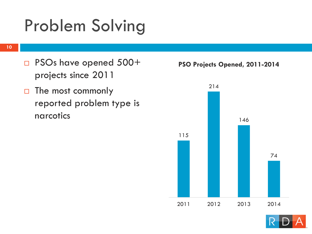# Problem Solving

- □ PSOs have opened 500+ projects since 2011
- $\Box$  The most commonly reported problem type is narcotics





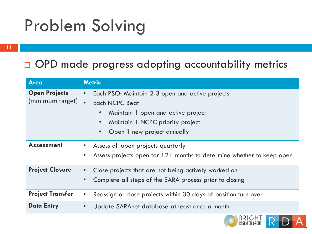# Problem Solving

#### OPD made progress adopting accountability metrics

| <b>Area</b>                              | <b>Metric</b>                                                                                                                                                                                  |
|------------------------------------------|------------------------------------------------------------------------------------------------------------------------------------------------------------------------------------------------|
| <b>Open Projects</b><br>(minimum target) | Each PSO: Maintain 2-3 open and active projects<br><b>Each NCPC Beat</b><br>$\bullet$<br>Maintain 1 open and active project<br>Maintain 1 NCPC priority project<br>Open 1 new project annually |
| <b>Assessment</b>                        | Assess all open projects quarterly<br>Assess projects open for $12+$ months to determine whether to keep open                                                                                  |
| <b>Project Closure</b>                   | Close projects that are not being actively worked on<br>Complete all steps of the SARA process prior to closing                                                                                |
| <b>Project Transfer</b>                  | Reassign or close projects within 30 days of position turn over                                                                                                                                |
| <b>Data Entry</b>                        | Update SARAnet database at least once a month                                                                                                                                                  |

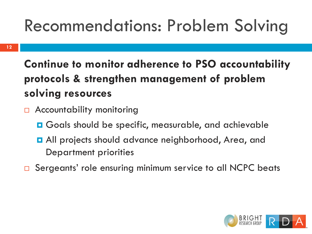# Recommendations: Problem Solving

#### **Continue to monitor adherence to PSO accountability protocols & strengthen management of problem solving resources**

- **B** Accountability monitoring
	- **□** Goals should be specific, measurable, and achievable
	- **D** All projects should advance neighborhood, Area, and Department priorities
- □ Sergeants' role ensuring minimum service to all NCPC beats

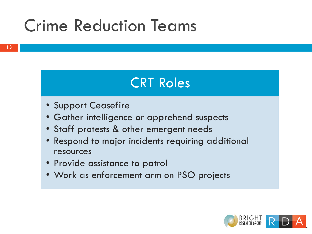#### CRT Roles

- Support Ceasefire
- Gather intelligence or apprehend suspects
- Staff protests & other emergent needs
- Respond to major incidents requiring additional resources
- Provide assistance to patrol
- Work as enforcement arm on PSO projects

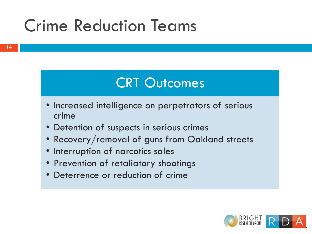#### CRT Outcomes

- Increased intelligence on perpetrators of serious crime
- Detention of suspects in serious crimes
- Recovery/removal of guns from Oakland streets
- Interruption of narcotics sales
- Prevention of retaliatory shootings
- Deterrence or reduction of crime

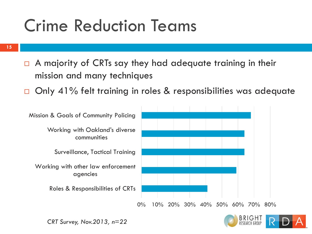**15**

- $\Box$  A majority of CRTs say they had adequate training in their mission and many techniques
- □ Only 41% felt training in roles & responsibilities was adequate





*CRT Survey, Nov.2013, n=22*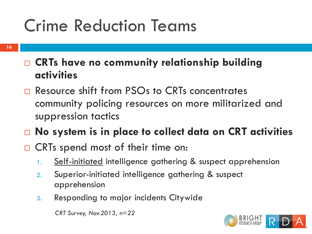- **CRTs have no community relationship building activities**
- □ Resource shift from PSOs to CRTs concentrates community policing resources on more militarized and suppression tactics
- **No system is in place to collect data on CRT activities**
- □ CRTs spend most of their time on:
	- 1. Self-initiated intelligence gathering & suspect apprehension
	- 2. Superior-initiated intelligence gathering & suspect apprehension
	- 3. Responding to major incidents Citywide

*CRT Survey, Nov.2013, n=22*

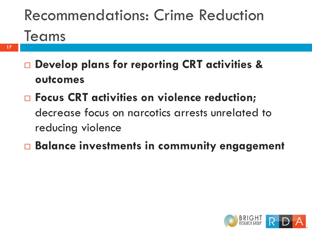# Recommendations: Crime Reduction Teams

- **17**
- **Develop plans for reporting CRT activities & outcomes**
- **Focus CRT activities on violence reduction;**  decrease focus on narcotics arrests unrelated to reducing violence
- **Balance investments in community engagement**

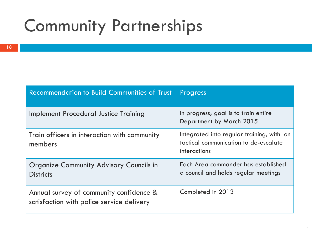| <b>Recommendation to Build Communities of Trust</b>                                  | Progress                                                                                           |
|--------------------------------------------------------------------------------------|----------------------------------------------------------------------------------------------------|
| <b>Implement Procedural Justice Training</b>                                         | In progress; goal is to train entire<br>Department by March 2015                                   |
| Train officers in interaction with community<br>members                              | Integrated into regular training, with on<br>tactical communication to de-escalate<br>interactions |
| <b>Organize Community Advisory Councils in</b><br><b>Districts</b>                   | Each Area commander has established<br>a council and holds regular meetings                        |
| Annual survey of community confidence &<br>satisfaction with police service delivery | Completed in 2013                                                                                  |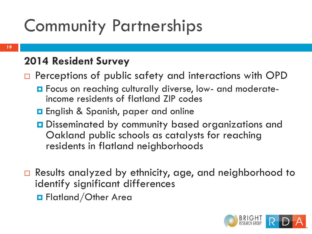#### **2014 Resident Survey**

 $\Box$  Perceptions of public safety and interactions with OPD

- **O** Focus on reaching culturally diverse, low- and moderateincome residents of flatland ZIP codes
- **English & Spanish, paper and online**
- Disseminated by community based organizations and Oakland public schools as catalysts for reaching residents in flatland neighborhoods
- □ Results analyzed by ethnicity, age, and neighborhood to identify significant differences **O** Flatland/Other Area

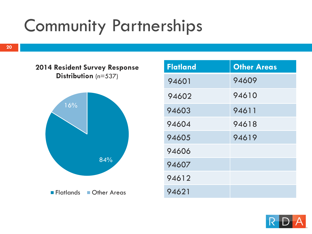84% 16% **2014 Resident Survey Response Distribution** (n=537) **Flatlands** Other Areas

| <b>Flatland</b> | <b>Other Areas</b> |
|-----------------|--------------------|
| 94601           | 94609              |
| 94602           | 94610              |
| 94603           | 94611              |
| 94604           | 94618              |
| 94605           | 94619              |
| 94606           |                    |
| 94607           |                    |
| 94612           |                    |
| 94621           |                    |

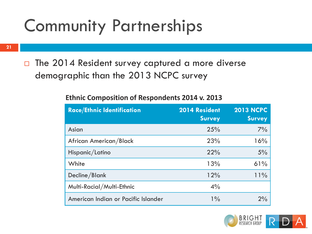**21**

 $\Box$  The 2014 Resident survey captured a more diverse demographic than the 2013 NCPC survey

| <b>Race/Ethnic Identification</b>   | 2014 Resident<br><b>Survey</b> | <b>2013 NCPC</b><br><b>Survey</b> |
|-------------------------------------|--------------------------------|-----------------------------------|
| Asian                               | 25%                            | 7%                                |
| African American/Black              | 23%                            | 16%                               |
| Hispanic/Latino                     | 22%                            | 5%                                |
| White                               | 13%                            | 61%                               |
| Decline/Blank                       | 12%                            | 11%                               |
| Multi-Racial/Multi-Ethnic           | 4%                             |                                   |
| American Indian or Pacific Islander | $1\%$                          | 2%                                |

#### **Ethnic Composition of Respondents 2014 v. 2013**

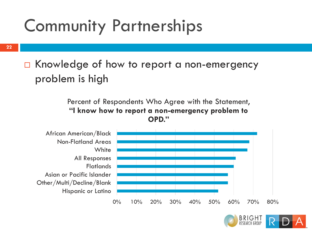**22**

#### □ Knowledge of how to report a non-emergency problem is high

Percent of Respondents Who Agree with the Statement, **"I know how to report a non-emergency problem to OPD."**



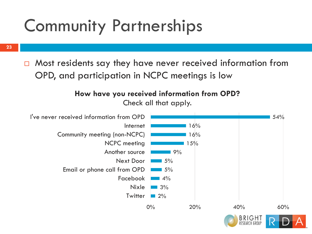**23**

 $\Box$  Most residents say they have never received information from OPD, and participation in NCPC meetings is low

#### **How have you received information from OPD?**  Check all that apply.

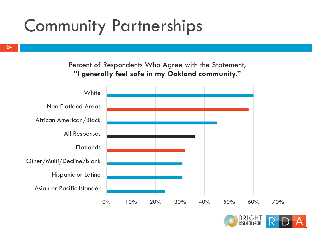**24**

Percent of Respondents Who Agree with the Statement, **"I generally feel safe in my Oakland community."**



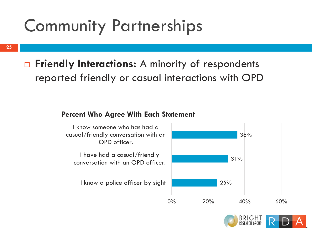**25**

#### □ Friendly Interactions: A minority of respondents reported friendly or casual interactions with OPD

#### **Percent Who Agree With Each Statement**



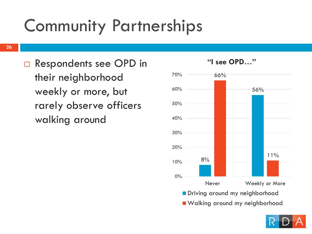□ Respondents see OPD in their neighborhood weekly or more, but rarely observe officers walking around



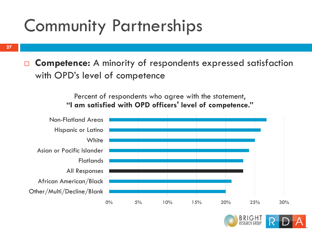**27**

□ Competence: A minority of respondents expressed satisfaction with OPD's level of competence

> Percent of respondents who agree with the statement, **"I am satisfied with OPD officers' level of competence."**



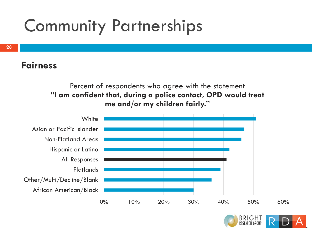#### **Fairness**

**28**

#### Percent of respondents who agree with the statement **"I am confident that, during a police contact, OPD would treat me and/or my children fairly."**



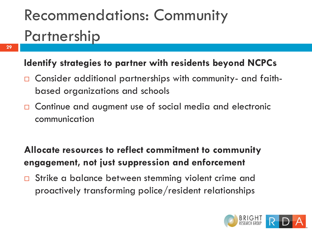# Recommendations: Community Partnership

**29**

#### **Identify strategies to partner with residents beyond NCPCs**

- Consider additional partnerships with community- and faithbased organizations and schools
- □ Continue and augment use of social media and electronic communication

#### **Allocate resources to reflect commitment to community engagement, not just suppression and enforcement**

□ Strike a balance between stemming violent crime and proactively transforming police/resident relationships

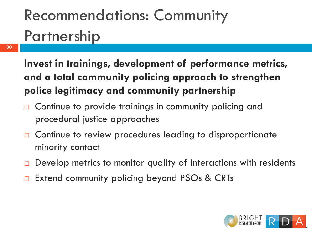# Recommendations: Community Partnership

**30**

**Invest in trainings, development of performance metrics, and a total community policing approach to strengthen police legitimacy and community partnership** 

- □ Continue to provide trainings in community policing and procedural justice approaches
- □ Continue to review procedures leading to disproportionate minority contact
- $\Box$  Develop metrics to monitor quality of interactions with residents
- Extend community policing beyond PSOs & CRTs

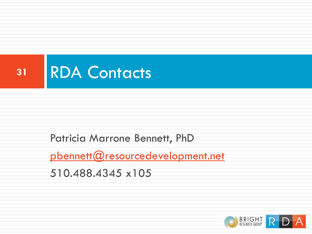

#### Patricia Marrone Bennett, PhD

[pbennett@resourcedevelopment.net](mailto:pbennett@resourcedevelopment.net)

510.488.4345 x105